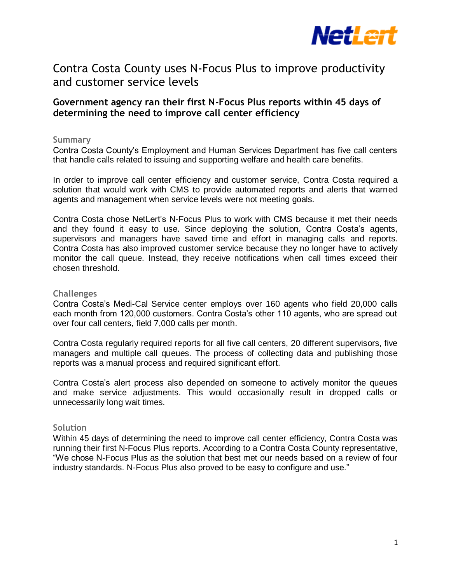

# Contra Costa County uses N-Focus Plus to improve productivity and customer service levels

# **Government agency ran their first N-Focus Plus reports within 45 days of determining the need to improve call center efficiency**

#### **Summary**

Contra Costa County's Employment and Human Services Department has five call centers that handle calls related to issuing and supporting welfare and health care benefits.

In order to improve call center efficiency and customer service, Contra Costa required a solution that would work with CMS to provide automated reports and alerts that warned agents and management when service levels were not meeting goals.

Contra Costa chose NetLert's N-Focus Plus to work with CMS because it met their needs and they found it easy to use. Since deploying the solution, Contra Costa's agents, supervisors and managers have saved time and effort in managing calls and reports. Contra Costa has also improved customer service because they no longer have to actively monitor the call queue. Instead, they receive notifications when call times exceed their chosen threshold.

## **Challenges**

Contra Costa's Medi-Cal Service center employs over 160 agents who field 20,000 calls each month from 120,000 customers. Contra Costa's other 110 agents, who are spread out over four call centers, field 7,000 calls per month.

Contra Costa regularly required reports for all five call centers, 20 different supervisors, five managers and multiple call queues. The process of collecting data and publishing those reports was a manual process and required significant effort.

Contra Costa's alert process also depended on someone to actively monitor the queues and make service adjustments. This would occasionally result in dropped calls or unnecessarily long wait times.

#### **Solution**

Within 45 days of determining the need to improve call center efficiency, Contra Costa was running their first N-Focus Plus reports. According to a Contra Costa County representative, "We chose N-Focus Plus as the solution that best met our needs based on a review of four industry standards. N-Focus Plus also proved to be easy to configure and use."